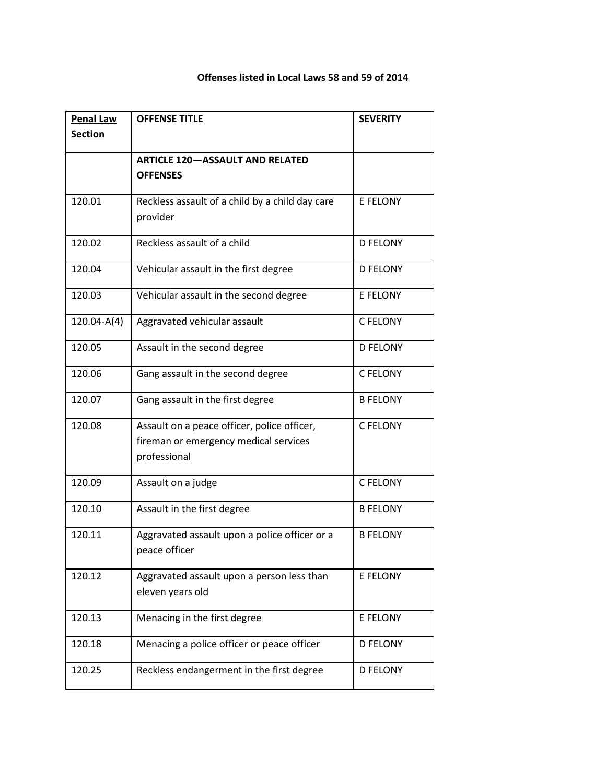| <b>Penal Law</b> | <b>OFFENSE TITLE</b>                            | <b>SEVERITY</b> |
|------------------|-------------------------------------------------|-----------------|
| <b>Section</b>   |                                                 |                 |
|                  | <b>ARTICLE 120-ASSAULT AND RELATED</b>          |                 |
|                  | <b>OFFENSES</b>                                 |                 |
| 120.01           | Reckless assault of a child by a child day care | E FELONY        |
|                  | provider                                        |                 |
| 120.02           | Reckless assault of a child                     | <b>D FELONY</b> |
| 120.04           | Vehicular assault in the first degree           | <b>D FELONY</b> |
| 120.03           | Vehicular assault in the second degree          | E FELONY        |
| $120.04 - A(4)$  | Aggravated vehicular assault                    | <b>C FELONY</b> |
| 120.05           | Assault in the second degree                    | <b>D FELONY</b> |
| 120.06           | Gang assault in the second degree               | <b>C FELONY</b> |
| 120.07           | Gang assault in the first degree                | <b>B FELONY</b> |
| 120.08           | Assault on a peace officer, police officer,     | <b>C FELONY</b> |
|                  | fireman or emergency medical services           |                 |
|                  | professional                                    |                 |
| 120.09           | Assault on a judge                              | <b>C FELONY</b> |
| 120.10           | Assault in the first degree                     | <b>B FELONY</b> |
| 120.11           | Aggravated assault upon a police officer or a   | <b>B FELONY</b> |
|                  | peace officer                                   |                 |
| 120.12           | Aggravated assault upon a person less than      | E FELONY        |
|                  | eleven years old                                |                 |
| 120.13           | Menacing in the first degree                    | E FELONY        |
| 120.18           | Menacing a police officer or peace officer      | <b>D FELONY</b> |
| 120.25           | Reckless endangerment in the first degree       | <b>D FELONY</b> |

## **Offenses listed in Local Laws 58 and 59 of 2014**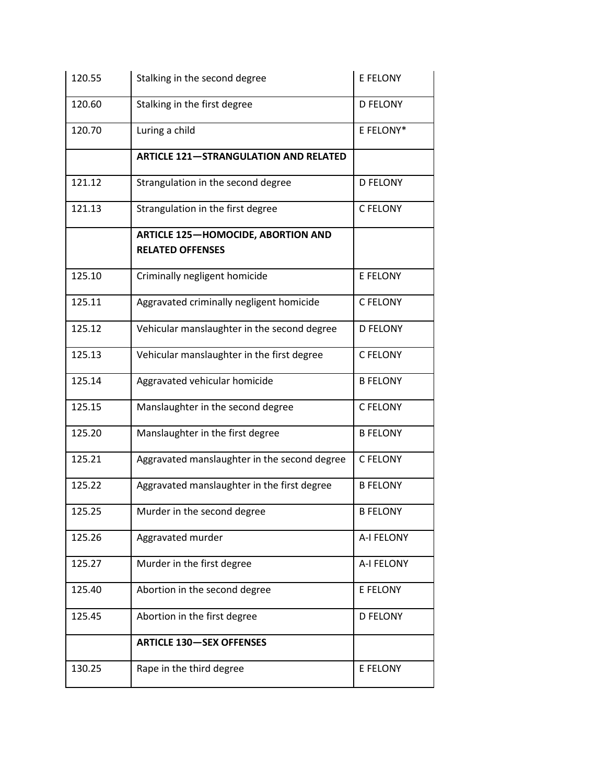| 120.55 | Stalking in the second degree                                        | <b>E FELONY</b>   |
|--------|----------------------------------------------------------------------|-------------------|
| 120.60 | Stalking in the first degree                                         | <b>D FELONY</b>   |
| 120.70 | Luring a child                                                       | E FELONY*         |
|        | <b>ARTICLE 121-STRANGULATION AND RELATED</b>                         |                   |
| 121.12 | Strangulation in the second degree                                   | <b>D FELONY</b>   |
| 121.13 | Strangulation in the first degree                                    | <b>C FELONY</b>   |
|        | <b>ARTICLE 125-HOMOCIDE, ABORTION AND</b><br><b>RELATED OFFENSES</b> |                   |
| 125.10 | Criminally negligent homicide                                        | <b>E FELONY</b>   |
| 125.11 | Aggravated criminally negligent homicide                             | <b>C FELONY</b>   |
| 125.12 | Vehicular manslaughter in the second degree                          | <b>D FELONY</b>   |
| 125.13 | Vehicular manslaughter in the first degree                           | <b>C FELONY</b>   |
| 125.14 | Aggravated vehicular homicide                                        | <b>B FELONY</b>   |
| 125.15 | Manslaughter in the second degree                                    | C FELONY          |
| 125.20 | Manslaughter in the first degree                                     | <b>B FELONY</b>   |
| 125.21 | Aggravated manslaughter in the second degree                         | <b>C FELONY</b>   |
| 125.22 | Aggravated manslaughter in the first degree                          | <b>B FELONY</b>   |
| 125.25 | Murder in the second degree                                          | <b>B FELONY</b>   |
| 125.26 | Aggravated murder                                                    | A-I FELONY        |
| 125.27 | Murder in the first degree                                           | <b>A-I FELONY</b> |
| 125.40 | Abortion in the second degree                                        | E FELONY          |
| 125.45 | Abortion in the first degree                                         | <b>D FELONY</b>   |
|        | <b>ARTICLE 130-SEX OFFENSES</b>                                      |                   |
| 130.25 | Rape in the third degree                                             | E FELONY          |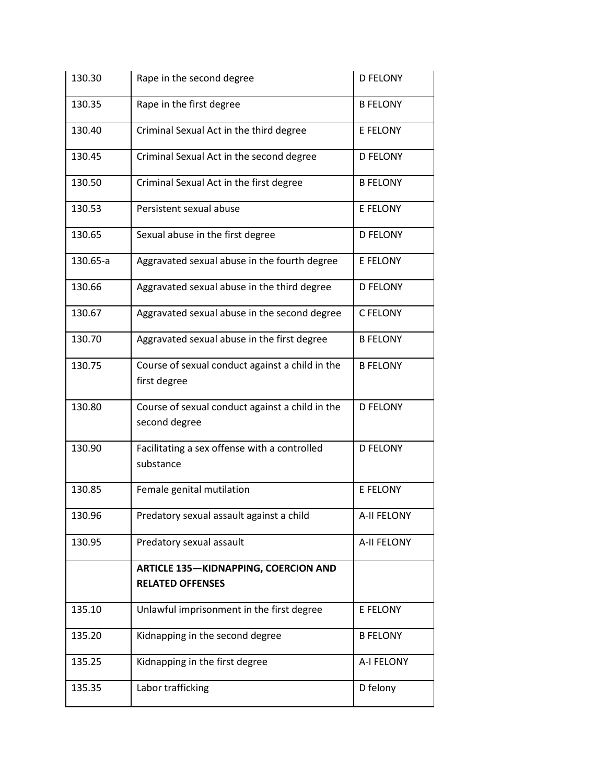| 130.30   | Rape in the second degree                                        | <b>D FELONY</b>    |
|----------|------------------------------------------------------------------|--------------------|
| 130.35   | Rape in the first degree                                         | <b>B FELONY</b>    |
| 130.40   | Criminal Sexual Act in the third degree                          | <b>E FELONY</b>    |
| 130.45   | Criminal Sexual Act in the second degree                         | <b>D FELONY</b>    |
| 130.50   | Criminal Sexual Act in the first degree                          | <b>B FELONY</b>    |
| 130.53   | Persistent sexual abuse                                          | E FELONY           |
| 130.65   | Sexual abuse in the first degree                                 | <b>D FELONY</b>    |
| 130.65-a | Aggravated sexual abuse in the fourth degree                     | <b>E FELONY</b>    |
| 130.66   | Aggravated sexual abuse in the third degree                      | <b>D FELONY</b>    |
| 130.67   | Aggravated sexual abuse in the second degree                     | <b>C FELONY</b>    |
| 130.70   | Aggravated sexual abuse in the first degree                      | <b>B FELONY</b>    |
| 130.75   | Course of sexual conduct against a child in the<br>first degree  | <b>B FELONY</b>    |
| 130.80   | Course of sexual conduct against a child in the<br>second degree | <b>D FELONY</b>    |
| 130.90   | Facilitating a sex offense with a controlled<br>substance        | <b>D FELONY</b>    |
| 130.85   | Female genital mutilation                                        | E FELONY           |
| 130.96   | Predatory sexual assault against a child                         | <b>A-II FELONY</b> |
| 130.95   | Predatory sexual assault                                         | A-II FELONY        |
|          | <b>ARTICLE 135-KIDNAPPING, COERCION AND</b>                      |                    |
|          | <b>RELATED OFFENSES</b>                                          |                    |
| 135.10   | Unlawful imprisonment in the first degree                        | E FELONY           |
| 135.20   | Kidnapping in the second degree                                  | <b>B FELONY</b>    |
| 135.25   | Kidnapping in the first degree                                   | A-I FELONY         |
| 135.35   | Labor trafficking                                                | D felony           |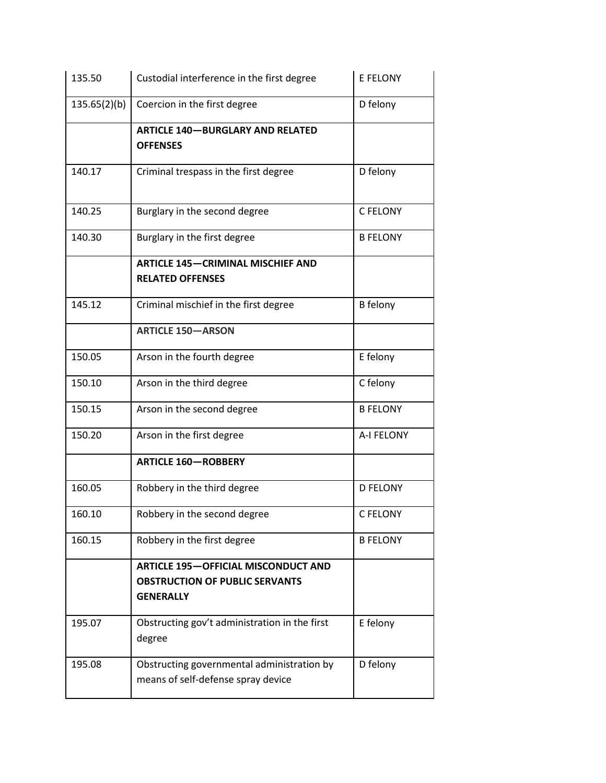| 135.50       | Custodial interference in the first degree              | <b>E FELONY</b> |
|--------------|---------------------------------------------------------|-----------------|
| 135.65(2)(b) | Coercion in the first degree                            | D felony        |
|              | <b>ARTICLE 140-BURGLARY AND RELATED</b>                 |                 |
|              | <b>OFFENSES</b>                                         |                 |
| 140.17       | Criminal trespass in the first degree                   | D felony        |
|              |                                                         |                 |
| 140.25       | Burglary in the second degree                           | <b>C FELONY</b> |
| 140.30       | Burglary in the first degree                            | <b>B FELONY</b> |
|              | <b>ARTICLE 145-CRIMINAL MISCHIEF AND</b>                |                 |
|              | <b>RELATED OFFENSES</b>                                 |                 |
| 145.12       | Criminal mischief in the first degree                   | <b>B</b> felony |
|              | <b>ARTICLE 150-ARSON</b>                                |                 |
| 150.05       | Arson in the fourth degree                              | E felony        |
| 150.10       | Arson in the third degree                               | C felony        |
| 150.15       | Arson in the second degree                              | <b>B FELONY</b> |
| 150.20       | Arson in the first degree                               | A-I FELONY      |
|              | <b>ARTICLE 160-ROBBERY</b>                              |                 |
| 160.05       | Robbery in the third degree                             | <b>D FELONY</b> |
| 160.10       | Robbery in the second degree                            | C FELONY        |
| 160.15       | Robbery in the first degree                             | <b>B FELONY</b> |
|              | <b>ARTICLE 195-OFFICIAL MISCONDUCT AND</b>              |                 |
|              | <b>OBSTRUCTION OF PUBLIC SERVANTS</b>                   |                 |
|              | <b>GENERALLY</b>                                        |                 |
| 195.07       | Obstructing gov't administration in the first<br>degree | E felony        |
|              |                                                         |                 |
| 195.08       | Obstructing governmental administration by              | D felony        |
|              | means of self-defense spray device                      |                 |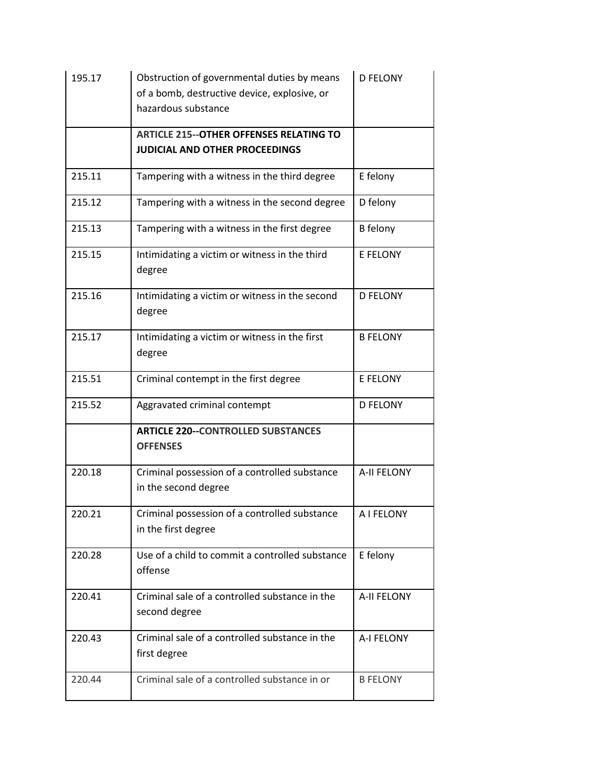| 195.17 | Obstruction of governmental duties by means<br>of a bomb, destructive device, explosive, or<br>hazardous substance | <b>D FELONY</b> |
|--------|--------------------------------------------------------------------------------------------------------------------|-----------------|
|        | <b>ARTICLE 215--OTHER OFFENSES RELATING TO</b><br><b>JUDICIAL AND OTHER PROCEEDINGS</b>                            |                 |
| 215.11 | Tampering with a witness in the third degree                                                                       | E felony        |
| 215.12 | Tampering with a witness in the second degree                                                                      | D felony        |
| 215.13 | Tampering with a witness in the first degree                                                                       | <b>B</b> felony |
| 215.15 | Intimidating a victim or witness in the third<br>degree                                                            | E FELONY        |
| 215.16 | Intimidating a victim or witness in the second<br>degree                                                           | <b>D FELONY</b> |
| 215.17 | Intimidating a victim or witness in the first<br>degree                                                            | <b>B FELONY</b> |
| 215.51 | Criminal contempt in the first degree                                                                              | <b>E FELONY</b> |
| 215.52 | Aggravated criminal contempt                                                                                       | <b>D FELONY</b> |
|        | <b>ARTICLE 220--CONTROLLED SUBSTANCES</b><br><b>OFFENSES</b>                                                       |                 |
| 220.18 | Criminal possession of a controlled substance<br>in the second degree                                              | A-II FELONY     |
| 220.21 | Criminal possession of a controlled substance<br>in the first degree                                               | A I FELONY      |
| 220.28 | Use of a child to commit a controlled substance<br>offense                                                         | E felony        |
| 220.41 | Criminal sale of a controlled substance in the<br>second degree                                                    | A-II FELONY     |
| 220.43 | Criminal sale of a controlled substance in the<br>first degree                                                     | A-I FELONY      |
| 220.44 | Criminal sale of a controlled substance in or                                                                      | <b>B FELONY</b> |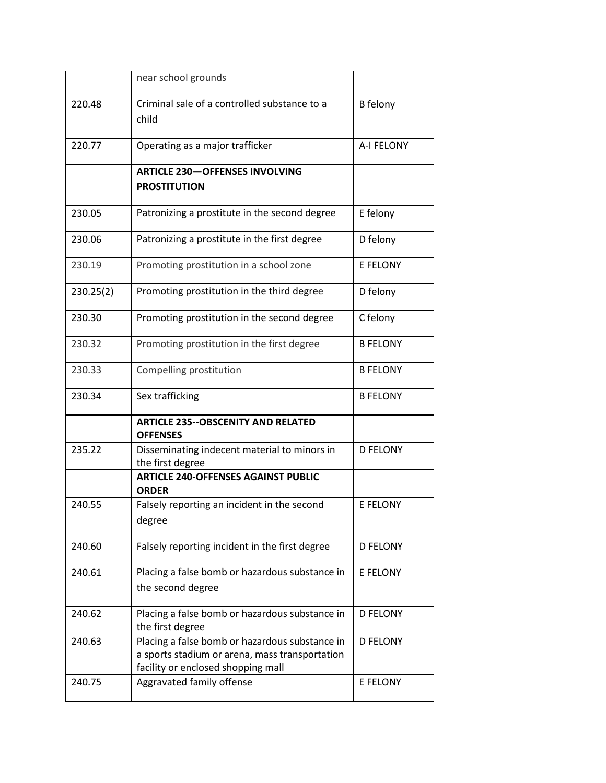|           | near school grounds                                                                                                                    |                   |
|-----------|----------------------------------------------------------------------------------------------------------------------------------------|-------------------|
| 220.48    | Criminal sale of a controlled substance to a<br>child                                                                                  | <b>B</b> felony   |
| 220.77    | Operating as a major trafficker                                                                                                        | <b>A-I FELONY</b> |
|           | <b>ARTICLE 230-OFFENSES INVOLVING</b><br><b>PROSTITUTION</b>                                                                           |                   |
| 230.05    | Patronizing a prostitute in the second degree                                                                                          | E felony          |
| 230.06    | Patronizing a prostitute in the first degree                                                                                           | D felony          |
| 230.19    | Promoting prostitution in a school zone                                                                                                | <b>E FELONY</b>   |
| 230.25(2) | Promoting prostitution in the third degree                                                                                             | D felony          |
| 230.30    | Promoting prostitution in the second degree                                                                                            | C felony          |
| 230.32    | Promoting prostitution in the first degree                                                                                             | <b>B FELONY</b>   |
| 230.33    | Compelling prostitution                                                                                                                | <b>B FELONY</b>   |
| 230.34    | Sex trafficking                                                                                                                        | <b>B FELONY</b>   |
|           | <b>ARTICLE 235--OBSCENITY AND RELATED</b><br><b>OFFENSES</b>                                                                           |                   |
| 235.22    | Disseminating indecent material to minors in                                                                                           | <b>D FELONY</b>   |
|           | the first degree                                                                                                                       |                   |
|           | <b>ARTICLE 240-OFFENSES AGAINST PUBLIC</b><br><b>ORDER</b>                                                                             |                   |
| 240.55    | Falsely reporting an incident in the second<br>degree                                                                                  | <b>E FELONY</b>   |
| 240.60    | Falsely reporting incident in the first degree                                                                                         | <b>D FELONY</b>   |
| 240.61    | Placing a false bomb or hazardous substance in<br>the second degree                                                                    | E FELONY          |
| 240.62    | Placing a false bomb or hazardous substance in<br>the first degree                                                                     | <b>D FELONY</b>   |
| 240.63    | Placing a false bomb or hazardous substance in<br>a sports stadium or arena, mass transportation<br>facility or enclosed shopping mall | D FELONY          |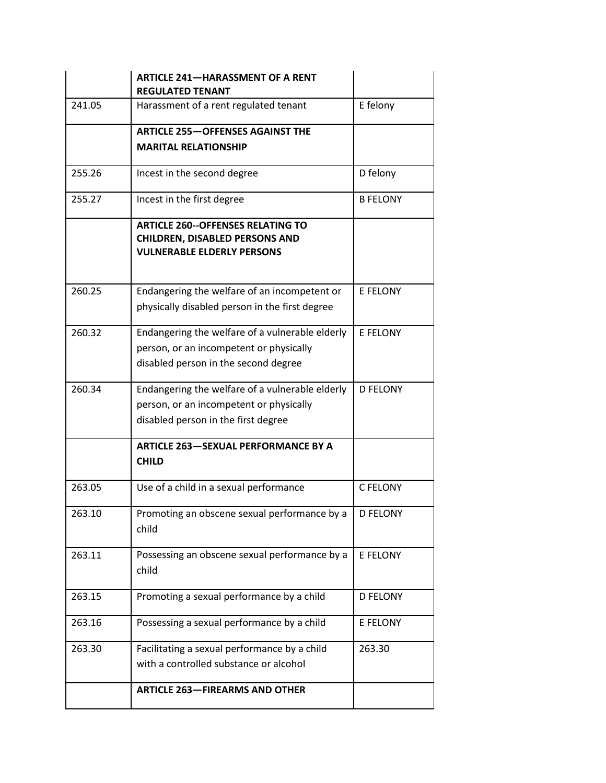|        | <b>ARTICLE 241-HARASSMENT OF A RENT</b><br><b>REGULATED TENANT</b>                             |                 |
|--------|------------------------------------------------------------------------------------------------|-----------------|
| 241.05 | Harassment of a rent regulated tenant                                                          | E felony        |
|        | <b>ARTICLE 255-OFFENSES AGAINST THE</b>                                                        |                 |
|        | <b>MARITAL RELATIONSHIP</b>                                                                    |                 |
| 255.26 | Incest in the second degree                                                                    | D felony        |
| 255.27 | Incest in the first degree                                                                     | <b>B FELONY</b> |
|        | <b>ARTICLE 260--OFFENSES RELATING TO</b>                                                       |                 |
|        | <b>CHILDREN, DISABLED PERSONS AND</b>                                                          |                 |
|        | <b>VULNERABLE ELDERLY PERSONS</b>                                                              |                 |
| 260.25 | Endangering the welfare of an incompetent or<br>physically disabled person in the first degree | E FELONY        |
|        |                                                                                                |                 |
| 260.32 | Endangering the welfare of a vulnerable elderly                                                | <b>E FELONY</b> |
|        | person, or an incompetent or physically                                                        |                 |
|        | disabled person in the second degree                                                           |                 |
| 260.34 | Endangering the welfare of a vulnerable elderly                                                | <b>D FELONY</b> |
|        | person, or an incompetent or physically                                                        |                 |
|        | disabled person in the first degree                                                            |                 |
|        | <b>ARTICLE 263-SEXUAL PERFORMANCE BY A</b><br><b>CHILD</b>                                     |                 |
| 263.05 | Use of a child in a sexual performance                                                         | <b>C FELONY</b> |
|        |                                                                                                |                 |
| 263.10 | Promoting an obscene sexual performance by a                                                   | <b>D FELONY</b> |
|        | child                                                                                          |                 |
| 263.11 | Possessing an obscene sexual performance by a                                                  | E FELONY        |
|        | child                                                                                          |                 |
| 263.15 | Promoting a sexual performance by a child                                                      | <b>D FELONY</b> |
| 263.16 | Possessing a sexual performance by a child                                                     | E FELONY        |
| 263.30 | Facilitating a sexual performance by a child                                                   | 263.30          |
|        | with a controlled substance or alcohol                                                         |                 |
|        | <b>ARTICLE 263-FIREARMS AND OTHER</b>                                                          |                 |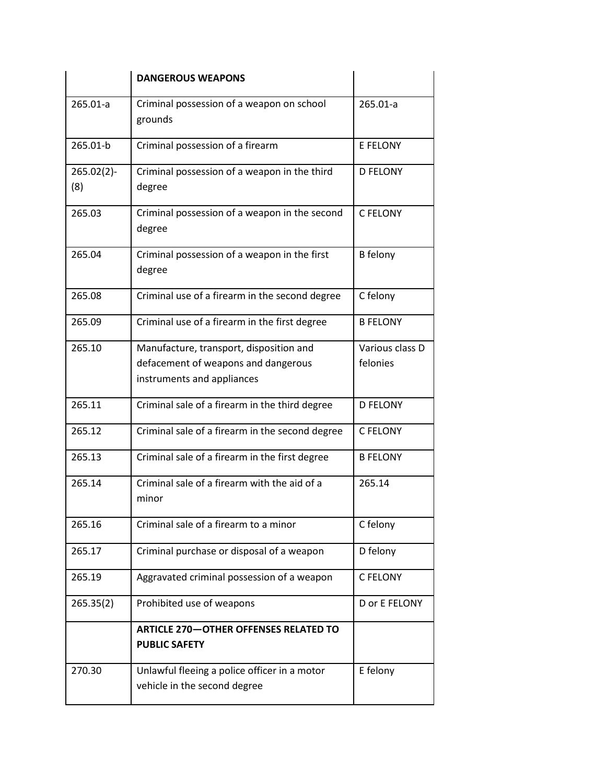|                      | <b>DANGEROUS WEAPONS</b>                                                                                     |                             |
|----------------------|--------------------------------------------------------------------------------------------------------------|-----------------------------|
| $265.01-a$           | Criminal possession of a weapon on school<br>grounds                                                         | 265.01-a                    |
| 265.01-b             | Criminal possession of a firearm                                                                             | E FELONY                    |
| $265.02(2)$ -<br>(8) | Criminal possession of a weapon in the third<br>degree                                                       | <b>D FELONY</b>             |
| 265.03               | Criminal possession of a weapon in the second<br>degree                                                      | <b>C FELONY</b>             |
| 265.04               | Criminal possession of a weapon in the first<br>degree                                                       | <b>B</b> felony             |
| 265.08               | Criminal use of a firearm in the second degree                                                               | C felony                    |
| 265.09               | Criminal use of a firearm in the first degree                                                                | <b>B FELONY</b>             |
| 265.10               | Manufacture, transport, disposition and<br>defacement of weapons and dangerous<br>instruments and appliances | Various class D<br>felonies |
| 265.11               | Criminal sale of a firearm in the third degree                                                               | <b>D FELONY</b>             |
| 265.12               | Criminal sale of a firearm in the second degree                                                              | <b>C FELONY</b>             |
| 265.13               | Criminal sale of a firearm in the first degree                                                               | <b>B FELONY</b>             |
| 265.14               | Criminal sale of a firearm with the aid of a<br>minor                                                        | 265.14                      |
| 265.16               | Criminal sale of a firearm to a minor                                                                        | C felony                    |
| 265.17               | Criminal purchase or disposal of a weapon                                                                    | D felony                    |
| 265.19               | Aggravated criminal possession of a weapon                                                                   | <b>C FELONY</b>             |
| 265.35(2)            | Prohibited use of weapons                                                                                    | D or E FELONY               |
|                      | <b>ARTICLE 270-OTHER OFFENSES RELATED TO</b><br><b>PUBLIC SAFETY</b>                                         |                             |
| 270.30               | Unlawful fleeing a police officer in a motor<br>vehicle in the second degree                                 | E felony                    |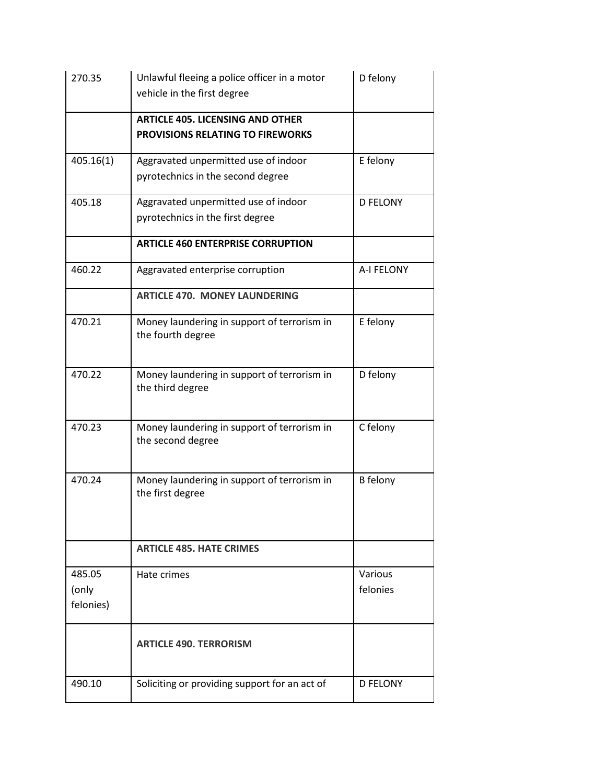| 270.35                       | Unlawful fleeing a police officer in a motor<br>vehicle in the first degree        | D felony            |
|------------------------------|------------------------------------------------------------------------------------|---------------------|
|                              | <b>ARTICLE 405. LICENSING AND OTHER</b><br><b>PROVISIONS RELATING TO FIREWORKS</b> |                     |
| 405.16(1)                    | Aggravated unpermitted use of indoor<br>pyrotechnics in the second degree          | E felony            |
| 405.18                       | Aggravated unpermitted use of indoor<br>pyrotechnics in the first degree           | <b>D FELONY</b>     |
|                              | <b>ARTICLE 460 ENTERPRISE CORRUPTION</b>                                           |                     |
| 460.22                       | Aggravated enterprise corruption                                                   | <b>A-I FELONY</b>   |
|                              | <b>ARTICLE 470. MONEY LAUNDERING</b>                                               |                     |
| 470.21                       | Money laundering in support of terrorism in<br>the fourth degree                   | E felony            |
| 470.22                       | Money laundering in support of terrorism in<br>the third degree                    | D felony            |
| 470.23                       | Money laundering in support of terrorism in<br>the second degree                   | C felony            |
| 470.24                       | Money laundering in support of terrorism in<br>the first degree                    | <b>B</b> felony     |
|                              | <b>ARTICLE 485, HATE CRIMES</b>                                                    |                     |
| 485.05<br>(only<br>felonies) | Hate crimes                                                                        | Various<br>felonies |
|                              | <b>ARTICLE 490, TERRORISM</b>                                                      |                     |
| 490.10                       | Soliciting or providing support for an act of                                      | <b>D FELONY</b>     |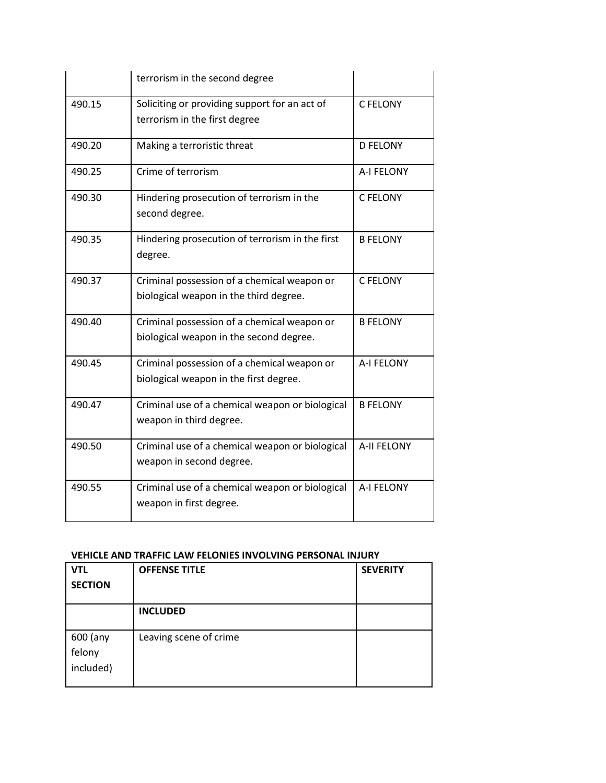|        | terrorism in the second degree                                                         |                    |
|--------|----------------------------------------------------------------------------------------|--------------------|
| 490.15 | Soliciting or providing support for an act of<br>terrorism in the first degree         | C FELONY           |
| 490.20 | Making a terroristic threat                                                            | <b>D FELONY</b>    |
| 490.25 | Crime of terrorism                                                                     | A-I FELONY         |
| 490.30 | Hindering prosecution of terrorism in the<br>second degree.                            | <b>C FELONY</b>    |
| 490.35 | Hindering prosecution of terrorism in the first<br>degree.                             | <b>B FELONY</b>    |
| 490.37 | Criminal possession of a chemical weapon or<br>biological weapon in the third degree.  | C FELONY           |
| 490.40 | Criminal possession of a chemical weapon or<br>biological weapon in the second degree. | <b>B FELONY</b>    |
| 490.45 | Criminal possession of a chemical weapon or<br>biological weapon in the first degree.  | <b>A-I FELONY</b>  |
| 490.47 | Criminal use of a chemical weapon or biological<br>weapon in third degree.             | <b>B FELONY</b>    |
| 490.50 | Criminal use of a chemical weapon or biological<br>weapon in second degree.            | <b>A-II FELONY</b> |
| 490.55 | Criminal use of a chemical weapon or biological<br>weapon in first degree.             | A-I FELONY         |

## **VEHICLE AND TRAFFIC LAW FELONIES INVOLVING PERSONAL INJURY**

| <b>VTL</b>     | <b>OFFENSE TITLE</b>   | <b>SEVERITY</b> |
|----------------|------------------------|-----------------|
| <b>SECTION</b> |                        |                 |
|                |                        |                 |
|                | <b>INCLUDED</b>        |                 |
|                |                        |                 |
| 600 (any       | Leaving scene of crime |                 |
| felony         |                        |                 |
| included)      |                        |                 |
|                |                        |                 |